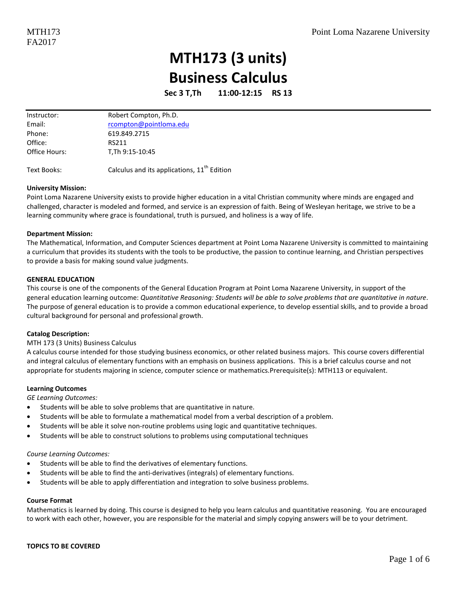MTH173 Point Loma Nazarene University

## **MTH173 (3 units) Business Calculus**

**Sec 3 T,Th 11:00-12:15 RS 13**

| Instructor:   | Robert Compton, Ph.D.  |
|---------------|------------------------|
| Email:        | rcompton@pointloma.edu |
| Phone:        | 619.849.2715           |
| Office:       | RS211                  |
| Office Hours: | T.Th 9:15-10:45        |

Text Books: Calculus and its applications, 11<sup>th</sup> Edition

#### **University Mission:**

Point Loma Nazarene University exists to provide higher education in a vital Christian community where minds are engaged and challenged, character is modeled and formed, and service is an expression of faith. Being of Wesleyan heritage, we strive to be a learning community where grace is foundational, truth is pursued, and holiness is a way of life.

#### **Department Mission:**

The Mathematical, Information, and Computer Sciences department at Point Loma Nazarene University is committed to maintaining a curriculum that provides its students with the tools to be productive, the passion to continue learning, and Christian perspectives to provide a basis for making sound value judgments.

#### **GENERAL EDUCATION**

This course is one of the components of the General Education Program at Point Loma Nazarene University, in support of the general education learning outcome: *Quantitative Reasoning: Students will be able to solve problems that are quantitative in nature*. The purpose of general education is to provide a common educational experience, to develop essential skills, and to provide a broad cultural background for personal and professional growth.

#### **Catalog Description:**

#### MTH 173 (3 Units) Business Calculus

A calculus course intended for those studying business economics, or other related business majors. This course covers differential and integral calculus of elementary functions with an emphasis on business applications. This is a brief calculus course and not appropriate for students majoring in science, computer science or mathematics.Prerequisite(s): MTH113 or equivalent.

#### **Learning Outcomes**

*GE Learning Outcomes:* 

- Students will be able to solve problems that are quantitative in nature.
- Students will be able to formulate a mathematical model from a verbal description of a problem.
- Students will be able it solve non-routine problems using logic and quantitative techniques.
- Students will be able to construct solutions to problems using computational techniques

#### *Course Learning Outcomes:*

- Students will be able to find the derivatives of elementary functions.
- Students will be able to find the anti-derivatives (integrals) of elementary functions.
- Students will be able to apply differentiation and integration to solve business problems.

#### **Course Format**

Mathematics is learned by doing. This course is designed to help you learn calculus and quantitative reasoning. You are encouraged to work with each other, however, you are responsible for the material and simply copying answers will be to your detriment.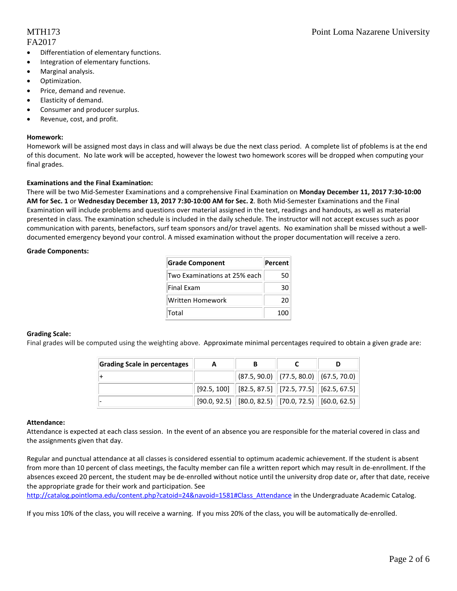### FA2017

- Differentiation of elementary functions.
- Integration of elementary functions.
- Marginal analysis.
- Optimization.
- Price, demand and revenue.
- Elasticity of demand.
- Consumer and producer surplus.
- Revenue, cost, and profit.

#### **Homework:**

Homework will be assigned most days in class and will always be due the next class period. A complete list of pfoblems is at the end of this document. No late work will be accepted, however the lowest two homework scores will be dropped when computing your final grades.

#### **Examinations and the Final Examination:**

There will be two Mid-Semester Examinations and a comprehensive Final Examination on **Monday December 11, 2017 7:30-10:00 AM for Sec. 1** or **Wednesday December 13, 2017 7:30-10:00 AM for Sec. 2**. Both Mid-Semester Examinations and the Final Examination will include problems and questions over material assigned in the text, readings and handouts, as well as material presented in class. The examination schedule is included in the daily schedule. The instructor will not accept excuses such as poor communication with parents, benefactors, surf team sponsors and/or travel agents. No examination shall be missed without a welldocumented emergency beyond your control. A missed examination without the proper documentation will receive a zero.

#### **Grade Components:**

| <b>Grade Component</b>       | Percent |  |
|------------------------------|---------|--|
| Two Examinations at 25% each | 50      |  |
| Final Exam                   | 30      |  |
| Written Homework             | 20      |  |
| Total                        | 100     |  |

#### **Grading Scale:**

Final grades will be computed using the weighting above. Approximate minimal percentages required to obtain a given grade are:

| <b>Grading Scale in percentages</b> | А | В |                                                                                        |
|-------------------------------------|---|---|----------------------------------------------------------------------------------------|
|                                     |   |   | $\ $ (87.5, 90.0) $\ $ (77.5, 80.0) $\ $ (67.5, 70.0) $\ $                             |
|                                     |   |   | $\big  [92.5, 100] \big  [82.5, 87.5] \big  [72.5, 77.5] \big  [62.5, 67.5] \big $     |
|                                     |   |   | $\mid$ [90.0, 92.5) $\mid$ [80.0, 82.5) $\mid$ [70.0, 72.5) $\mid$ [60.0, 62.5) $\mid$ |

#### **Attendance:**

Attendance is expected at each class session. In the event of an absence you are responsible for the material covered in class and the assignments given that day.

Regular and punctual attendance at all classes is considered essential to optimum academic achievement. If the student is absent from more than 10 percent of class meetings, the faculty member can file a written report which may result in de-enrollment. If the absences exceed 20 percent, the student may be de-enrolled without notice until the university drop date or, after that date, receive the appropriate grade for their work and participation. See

[http://catalog.pointloma.edu/content.php?catoid=24&navoid=1581#Class\\_Attendance](http://catalog.pointloma.edu/content.php?catoid=24&navoid=1581#Class_Attendance) in the Undergraduate Academic Catalog.

If you miss 10% of the class, you will receive a warning. If you miss 20% of the class, you will be automatically de-enrolled.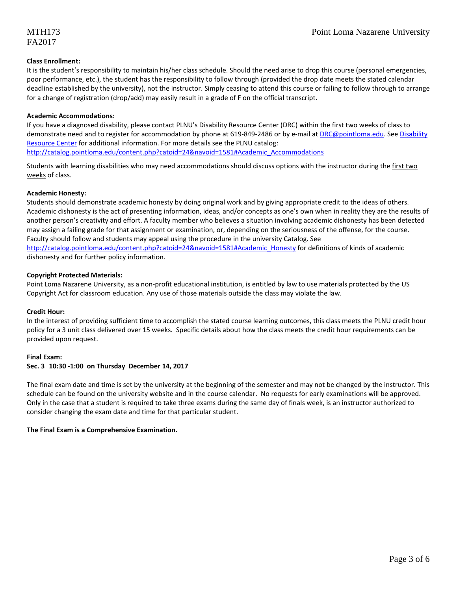# FA2017

#### **Class Enrollment:**

It is the student's responsibility to maintain his/her class schedule. Should the need arise to drop this course (personal emergencies, poor performance, etc.), the student has the responsibility to follow through (provided the drop date meets the stated calendar deadline established by the university), not the instructor. Simply ceasing to attend this course or failing to follow through to arrange for a change of registration (drop/add) may easily result in a grade of F on the official transcript.

#### **Academic Accommodations:**

If you have a diagnosed disability, please contact PLNU's Disability Resource Center (DRC) within the first two weeks of class to demonstrate need and to register for accommodation by phone at 619-849-2486 or by e-mail a[t DRC@pointloma.edu.](mailto:DRC@pointloma.edu) See [Disability](http://www.pointloma.edu/experience/offices/administrative-offices/academic-advising-office/disability-resource-center)  [Resource Center](http://www.pointloma.edu/experience/offices/administrative-offices/academic-advising-office/disability-resource-center) for additional information. For more details see the PLNU catalog: [http://catalog.pointloma.edu/content.php?catoid=24&navoid=1581#Academic\\_Accommodations](http://catalog.pointloma.edu/content.php?catoid=24&navoid=1581#Academic_Accommodations) 

Students with learning disabilities who may need accommodations should discuss options with the instructor during the first two weeks of class.

#### **Academic Honesty:**

Students should demonstrate academic honesty by doing original work and by giving appropriate credit to the ideas of others. Academic dishonesty is the act of presenting information, ideas, and/or concepts as one's own when in reality they are the results of another person's creativity and effort. A faculty member who believes a situation involving academic dishonesty has been detected may assign a failing grade for that assignment or examination, or, depending on the seriousness of the offense, for the course. Faculty should follow and students may appeal using the procedure in the university Catalog. See [http://catalog.pointloma.edu/content.php?catoid=24&navoid=1581#Academic\\_Honesty](http://catalog.pointloma.edu/content.php?catoid=24&navoid=1581#Academic_Honesty) for definitions of kinds of academic dishonesty and for further policy information.

#### **Copyright Protected Materials:**

Point Loma Nazarene University, as a non-profit educational institution, is entitled by law to use materials protected by the US Copyright Act for classroom education. Any use of those materials outside the class may violate the law.

#### **Credit Hour:**

In the interest of providing sufficient time to accomplish the stated course learning outcomes, this class meets the PLNU credit hour policy for a 3 unit class delivered over 15 weeks. Specific details about how the class meets the credit hour requirements can be provided upon request.

#### **Final Exam:**

#### **Sec. 3 10:30 -1:00 on Thursday December 14, 2017**

The final exam date and time is set by the university at the beginning of the semester and may not be changed by the instructor. This schedule can be found on the university website and in the course calendar. No requests for early examinations will be approved. Only in the case that a student is required to take three exams during the same day of finals week, is an instructor authorized to consider changing the exam date and time for that particular student.

#### **The Final Exam is a Comprehensive Examination.**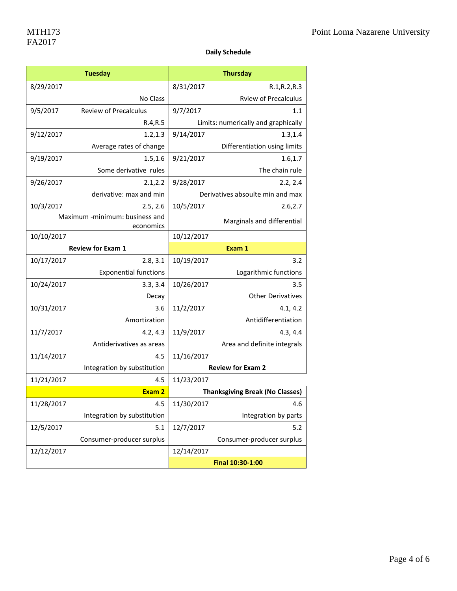#### **Daily Schedule**

| <b>Tuesday</b>                              |                              | <b>Thursday</b>            |                                        |  |
|---------------------------------------------|------------------------------|----------------------------|----------------------------------------|--|
| 8/29/2017                                   |                              | 8/31/2017                  | R.1, R.2, R.3                          |  |
|                                             | No Class                     |                            | <b>Rview of Precalculus</b>            |  |
| 9/5/2017                                    | <b>Review of Precalculus</b> | 9/7/2017                   | 1.1                                    |  |
|                                             | R.4, R.5                     |                            | Limits: numerically and graphically    |  |
| 9/12/2017                                   | 1.2, 1.3                     | 9/14/2017                  | 1.3, 1.4                               |  |
|                                             | Average rates of change      |                            | Differentiation using limits           |  |
| 9/19/2017                                   | 1.5, 1.6                     | 9/21/2017                  | 1.6, 1.7                               |  |
|                                             | Some derivative rules        |                            | The chain rule                         |  |
| 9/26/2017                                   | 2.1, 2.2                     | 9/28/2017                  | 2.2, 2.4                               |  |
|                                             | derivative: max and min      |                            | Derivatives absoulte min and max       |  |
| 10/3/2017                                   | 2.5, 2.6                     | 10/5/2017                  | 2.6, 2.7                               |  |
| Maximum -minimum: business and<br>economics |                              | Marginals and differential |                                        |  |
| 10/10/2017                                  |                              | 10/12/2017                 |                                        |  |
|                                             | <b>Review for Exam 1</b>     |                            | Exam 1                                 |  |
| 10/17/2017                                  | 2.8, 3.1                     | 10/19/2017                 | 3.2                                    |  |
|                                             | <b>Exponential functions</b> |                            | Logarithmic functions                  |  |
| 10/24/2017                                  | 3.3, 3.4                     | 10/26/2017                 | 3.5                                    |  |
|                                             | Decay                        |                            | <b>Other Derivatives</b>               |  |
| 10/31/2017                                  | 3.6                          | 11/2/2017                  | 4.1, 4.2                               |  |
|                                             | Amortization                 |                            | Antidifferentiation                    |  |
| 11/7/2017                                   | 4.2, 4.3                     | 11/9/2017                  | 4.3, 4.4                               |  |
|                                             | Antiderivatives as areas     |                            | Area and definite integrals            |  |
| 11/14/2017                                  | 4.5                          | 11/16/2017                 |                                        |  |
|                                             | Integration by substitution  | <b>Review for Exam 2</b>   |                                        |  |
| 11/21/2017                                  | 4.5                          | 11/23/2017                 |                                        |  |
|                                             | Exam 2                       |                            | <b>Thanksgiving Break (No Classes)</b> |  |
| 11/28/2017                                  | 4.5                          | 11/30/2017                 | 4.6                                    |  |
|                                             | Integration by substitution  |                            | Integration by parts                   |  |
| 12/5/2017                                   | 5.1                          | 12/7/2017                  | 5.2                                    |  |
|                                             | Consumer-producer surplus    |                            | Consumer-producer surplus              |  |
| 12/12/2017                                  |                              | 12/14/2017                 |                                        |  |
|                                             |                              |                            | Final 10:30-1:00                       |  |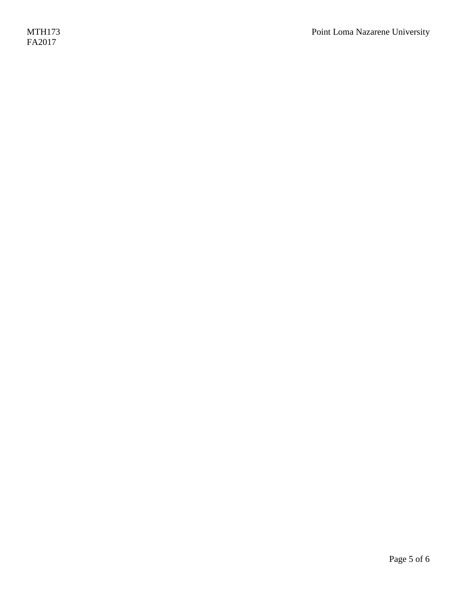FA2017